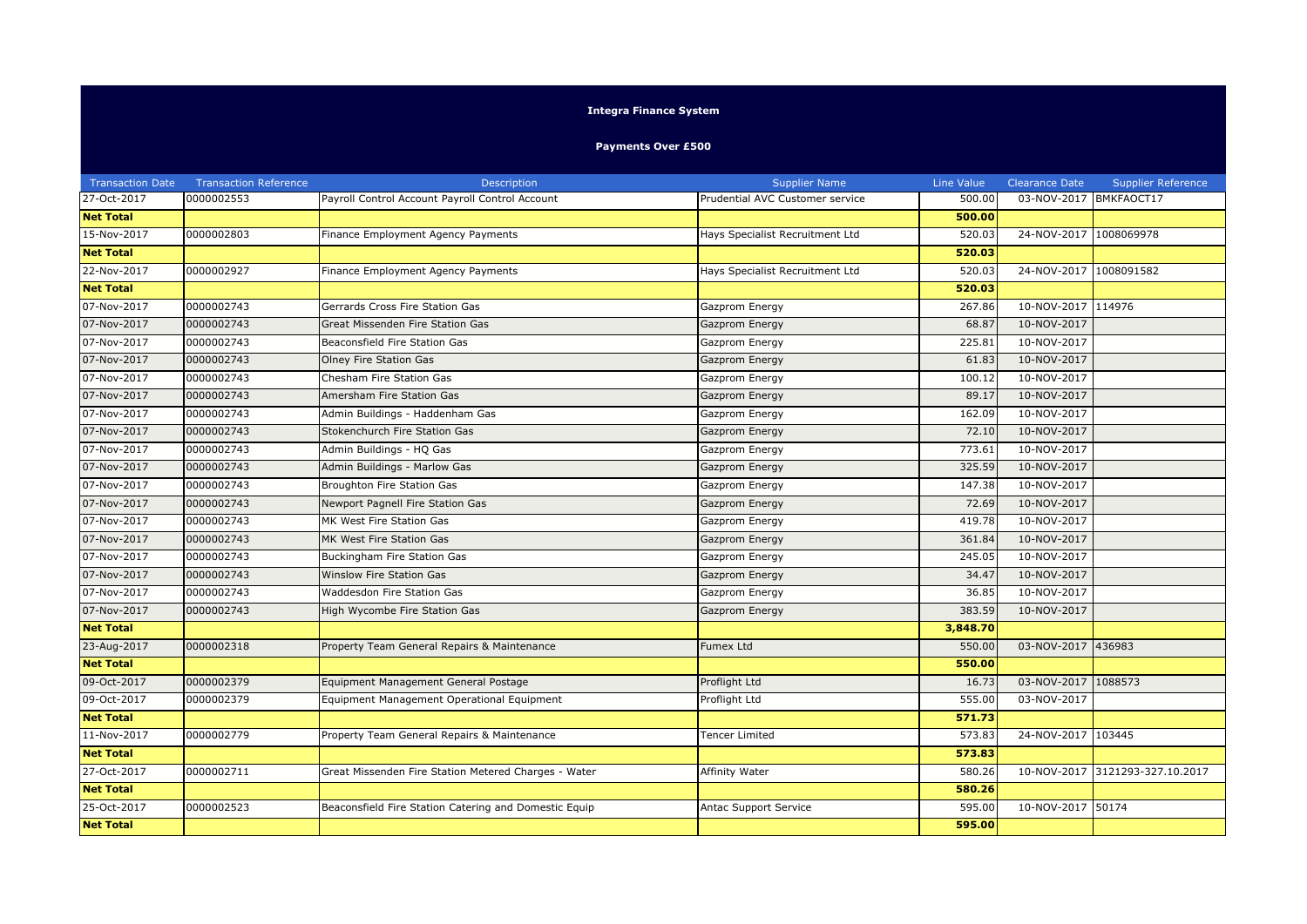## **Integra Finance System**

## **Payments Over £500**

| <b>Transaction Date</b> | <b>Transaction Reference</b> | Description                                           | <b>Supplier Name</b>            | Line Value | <b>Clearance Date</b> | <b>Supplier Reference</b> |
|-------------------------|------------------------------|-------------------------------------------------------|---------------------------------|------------|-----------------------|---------------------------|
| 27-Oct-2017             | 0000002553                   | Payroll Control Account Payroll Control Account       | Prudential AVC Customer service | 500.00     | 03-NOV-2017           | BMKFAOCT17                |
| <b>Net Total</b>        |                              |                                                       |                                 | 500.00     |                       |                           |
| 15-Nov-2017             | 0000002803                   | Finance Employment Agency Payments                    | Hays Specialist Recruitment Ltd | 520.03     | 24-NOV-2017           | 1008069978                |
| <b>Net Total</b>        |                              |                                                       |                                 | 520.03     |                       |                           |
| 22-Nov-2017             | 0000002927                   | Finance Employment Agency Payments                    | Hays Specialist Recruitment Ltd | 520.03     | 24-NOV-2017           | 1008091582                |
| <b>Net Total</b>        |                              |                                                       |                                 | 520.03     |                       |                           |
| 07-Nov-2017             | 0000002743                   | Gerrards Cross Fire Station Gas                       | Gazprom Energy                  | 267.86     | 10-NOV-2017 114976    |                           |
| 07-Nov-2017             | 0000002743                   | Great Missenden Fire Station Gas                      | Gazprom Energy                  | 68.87      | 10-NOV-2017           |                           |
| 07-Nov-2017             | 0000002743                   | Beaconsfield Fire Station Gas                         | Gazprom Energy                  | 225.81     | 10-NOV-2017           |                           |
| 07-Nov-2017             | 0000002743                   | Olney Fire Station Gas                                | Gazprom Energy                  | 61.83      | 10-NOV-2017           |                           |
| 07-Nov-2017             | 0000002743                   | Chesham Fire Station Gas                              | Gazprom Energy                  | 100.12     | 10-NOV-2017           |                           |
| 07-Nov-2017             | 0000002743                   | Amersham Fire Station Gas                             | Gazprom Energy                  | 89.17      | 10-NOV-2017           |                           |
| 07-Nov-2017             | 0000002743                   | Admin Buildings - Haddenham Gas                       | Gazprom Energy                  | 162.09     | 10-NOV-2017           |                           |
| 07-Nov-2017             | 0000002743                   | Stokenchurch Fire Station Gas                         | Gazprom Energy                  | 72.10      | 10-NOV-2017           |                           |
| 07-Nov-2017             | 0000002743                   | Admin Buildings - HQ Gas                              | Gazprom Energy                  | 773.61     | 10-NOV-2017           |                           |
| 07-Nov-2017             | 0000002743                   | Admin Buildings - Marlow Gas                          | Gazprom Energy                  | 325.59     | 10-NOV-2017           |                           |
| 07-Nov-2017             | 0000002743                   | Broughton Fire Station Gas                            | Gazprom Energy                  | 147.38     | 10-NOV-2017           |                           |
| 07-Nov-2017             | 0000002743                   | Newport Pagnell Fire Station Gas                      | Gazprom Energy                  | 72.69      | 10-NOV-2017           |                           |
| 07-Nov-2017             | 0000002743                   | MK West Fire Station Gas                              | Gazprom Energy                  | 419.78     | 10-NOV-2017           |                           |
| 07-Nov-2017             | 0000002743                   | MK West Fire Station Gas                              | Gazprom Energy                  | 361.84     | 10-NOV-2017           |                           |
| 07-Nov-2017             | 0000002743                   | Buckingham Fire Station Gas                           | Gazprom Energy                  | 245.05     | 10-NOV-2017           |                           |
| 07-Nov-2017             | 0000002743                   | <b>Winslow Fire Station Gas</b>                       | Gazprom Energy                  | 34.47      | 10-NOV-2017           |                           |
| 07-Nov-2017             | 0000002743                   | Waddesdon Fire Station Gas                            | Gazprom Energy                  | 36.85      | 10-NOV-2017           |                           |
| 07-Nov-2017             | 0000002743                   | High Wycombe Fire Station Gas                         | Gazprom Energy                  | 383.59     | 10-NOV-2017           |                           |
| <b>Net Total</b>        |                              |                                                       |                                 | 3,848.70   |                       |                           |
| 23-Aug-2017             | 0000002318                   | Property Team General Repairs & Maintenance           | Fumex Ltd                       | 550.00     | 03-NOV-2017 436983    |                           |
| <b>Net Total</b>        |                              |                                                       |                                 | 550.00     |                       |                           |
| 09-Oct-2017             | 0000002379                   | Equipment Management General Postage                  | Proflight Ltd                   | 16.73      | 03-NOV-2017           | 1088573                   |
| 09-Oct-2017             | 0000002379                   | Equipment Management Operational Equipment            | Proflight Ltd                   | 555.00     | 03-NOV-2017           |                           |
| <b>Net Total</b>        |                              |                                                       |                                 | 571.73     |                       |                           |
| 11-Nov-2017             | 0000002779                   | Property Team General Repairs & Maintenance           | <b>Fencer Limited</b>           | 573.83     | 24-NOV-2017           | 103445                    |
| <b>Net Total</b>        |                              |                                                       |                                 | 573.83     |                       |                           |
| 27-Oct-2017             | 0000002711                   | Great Missenden Fire Station Metered Charges - Water  | Affinity Water                  | 580.26     | 10-NOV-2017           | 3121293-327.10.2017       |
| <b>Net Total</b>        |                              |                                                       |                                 | 580.26     |                       |                           |
| 25-Oct-2017             | 0000002523                   | Beaconsfield Fire Station Catering and Domestic Equip | Antac Support Service           | 595.00     | 10-NOV-2017 50174     |                           |
| <b>Net Total</b>        |                              |                                                       |                                 | 595.00     |                       |                           |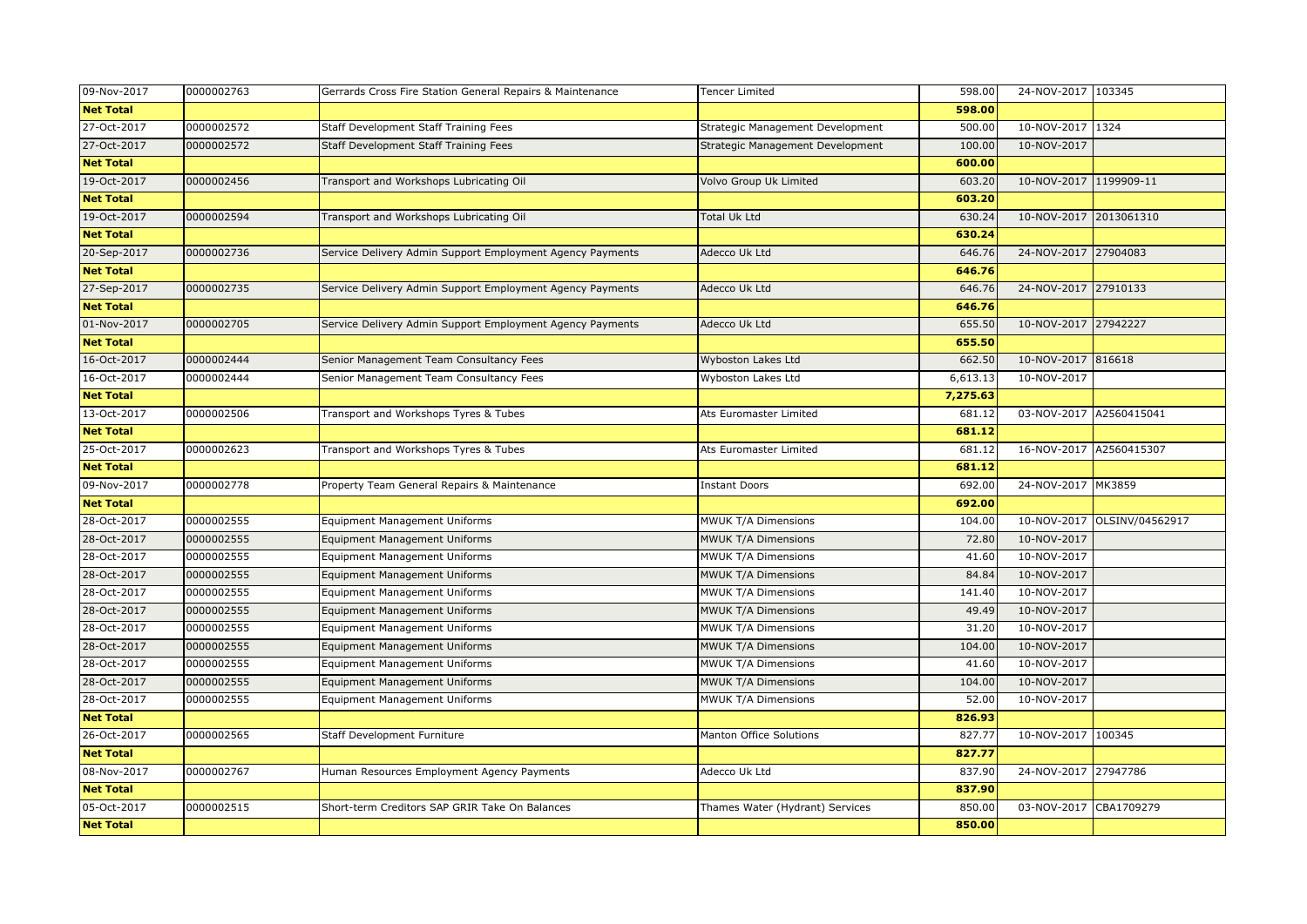| 09-Nov-2017      | 0000002763 | Gerrards Cross Fire Station General Repairs & Maintenance | Tencer Limited                   | 598.00   | 24-NOV-2017 103345      |                             |
|------------------|------------|-----------------------------------------------------------|----------------------------------|----------|-------------------------|-----------------------------|
| <b>Net Total</b> |            |                                                           |                                  | 598.00   |                         |                             |
| 27-Oct-2017      | 0000002572 | Staff Development Staff Training Fees                     | Strategic Management Development | 500.00   | 10-NOV-2017 1324        |                             |
| 27-Oct-2017      | 0000002572 | Staff Development Staff Training Fees                     | Strategic Management Development | 100.00   | 10-NOV-2017             |                             |
| <b>Net Total</b> |            |                                                           |                                  | 600.00   |                         |                             |
| 19-Oct-2017      | 0000002456 | Transport and Workshops Lubricating Oil                   | Volvo Group Uk Limited           | 603.20   | 10-NOV-2017 1199909-11  |                             |
| <b>Net Total</b> |            |                                                           |                                  | 603.20   |                         |                             |
| 19-Oct-2017      | 0000002594 | Transport and Workshops Lubricating Oil                   | Total Uk Ltd                     | 630.24   | 10-NOV-2017 2013061310  |                             |
| <b>Net Total</b> |            |                                                           |                                  | 630.24   |                         |                             |
| 20-Sep-2017      | 0000002736 | Service Delivery Admin Support Employment Agency Payments | Adecco Uk Ltd                    | 646.76   | 24-NOV-2017 27904083    |                             |
| <b>Net Total</b> |            |                                                           |                                  | 646.76   |                         |                             |
| 27-Sep-2017      | 0000002735 | Service Delivery Admin Support Employment Agency Payments | Adecco Uk Ltd                    | 646.76   | 24-NOV-2017 27910133    |                             |
| <b>Net Total</b> |            |                                                           |                                  | 646.76   |                         |                             |
| 01-Nov-2017      | 0000002705 | Service Delivery Admin Support Employment Agency Payments | Adecco Uk Ltd                    | 655.50   | 10-NOV-2017 27942227    |                             |
| <b>Net Total</b> |            |                                                           |                                  | 655.50   |                         |                             |
| 16-Oct-2017      | 0000002444 | Senior Management Team Consultancy Fees                   | Wyboston Lakes Ltd               | 662.50   | 10-NOV-2017 816618      |                             |
| 16-Oct-2017      | 0000002444 | Senior Management Team Consultancy Fees                   | Wyboston Lakes Ltd               | 6,613.13 | 10-NOV-2017             |                             |
| <b>Net Total</b> |            |                                                           |                                  | 7,275.63 |                         |                             |
| 13-Oct-2017      | 0000002506 | Transport and Workshops Tyres & Tubes                     | Ats Euromaster Limited           | 681.12   | 03-NOV-2017 A2560415041 |                             |
| <b>Net Total</b> |            |                                                           |                                  | 681.12   |                         |                             |
| 25-Oct-2017      | 0000002623 | Transport and Workshops Tyres & Tubes                     | Ats Euromaster Limited           | 681.12   | 16-NOV-2017 A2560415307 |                             |
| <b>Net Total</b> |            |                                                           |                                  | 681.12   |                         |                             |
| 09-Nov-2017      | 0000002778 | Property Team General Repairs & Maintenance               | <b>Instant Doors</b>             | 692.00   | 24-NOV-2017 MK3859      |                             |
| <b>Net Total</b> |            |                                                           |                                  | 692.00   |                         |                             |
| 28-Oct-2017      | 0000002555 | <b>Equipment Management Uniforms</b>                      | MWUK T/A Dimensions              | 104.00   |                         | 10-NOV-2017 OLSINV/04562917 |
| 28-Oct-2017      | 0000002555 | <b>Equipment Management Uniforms</b>                      | MWUK T/A Dimensions              | 72.80    | 10-NOV-2017             |                             |
| 28-Oct-2017      | 0000002555 | Equipment Management Uniforms                             | MWUK T/A Dimensions              | 41.60    | 10-NOV-2017             |                             |
| 28-Oct-2017      | 0000002555 | <b>Equipment Management Uniforms</b>                      | MWUK T/A Dimensions              | 84.84    | 10-NOV-2017             |                             |
| 28-Oct-2017      | 0000002555 | <b>Equipment Management Uniforms</b>                      | MWUK T/A Dimensions              | 141.40   | 10-NOV-2017             |                             |
| 28-Oct-2017      | 0000002555 | <b>Equipment Management Uniforms</b>                      | MWUK T/A Dimensions              | 49.49    | 10-NOV-2017             |                             |
| 28-Oct-2017      | 0000002555 | <b>Equipment Management Uniforms</b>                      | MWUK T/A Dimensions              | 31.20    | 10-NOV-2017             |                             |
| 28-Oct-2017      | 0000002555 | <b>Equipment Management Uniforms</b>                      | MWUK T/A Dimensions              | 104.00   | 10-NOV-2017             |                             |
| 28-Oct-2017      | 0000002555 | <b>Equipment Management Uniforms</b>                      | MWUK T/A Dimensions              | 41.60    | 10-NOV-2017             |                             |
| 28-Oct-2017      | 0000002555 | Equipment Management Uniforms                             | MWUK T/A Dimensions              | 104.00   | 10-NOV-2017             |                             |
| 28-Oct-2017      | 0000002555 | <b>Equipment Management Uniforms</b>                      | MWUK T/A Dimensions              | 52.00    | 10-NOV-2017             |                             |
| <b>Net Total</b> |            |                                                           |                                  | 826.93   |                         |                             |
| 26-Oct-2017      | 0000002565 | <b>Staff Development Furniture</b>                        | Manton Office Solutions          | 827.77   | 10-NOV-2017 100345      |                             |
| <b>Net Total</b> |            |                                                           |                                  | 827.77   |                         |                             |
| 08-Nov-2017      | 0000002767 | Human Resources Employment Agency Payments                | Adecco Uk Ltd                    | 837.90   | 24-NOV-2017 27947786    |                             |
| <b>Net Total</b> |            |                                                           |                                  | 837.90   |                         |                             |
| 05-Oct-2017      | 0000002515 | Short-term Creditors SAP GRIR Take On Balances            | Thames Water (Hydrant) Services  | 850.00   | 03-NOV-2017             | CBA1709279                  |
| <b>Net Total</b> |            |                                                           |                                  | 850.00   |                         |                             |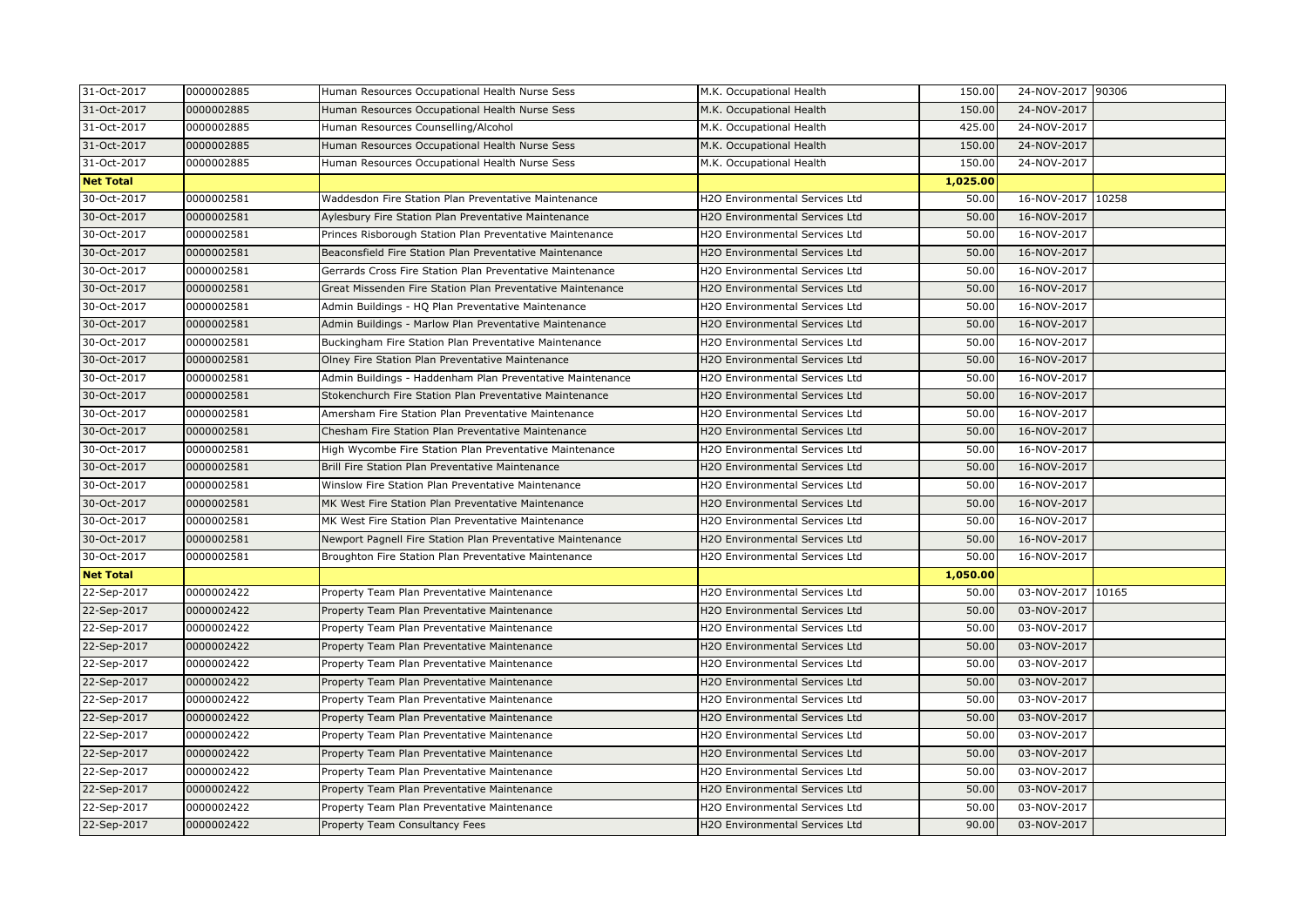| 31-Oct-2017      | 0000002885 | Human Resources Occupational Health Nurse Sess             | M.K. Occupational Health              | 150.00             | 24-NOV-2017 90306 |       |
|------------------|------------|------------------------------------------------------------|---------------------------------------|--------------------|-------------------|-------|
| 31-Oct-2017      | 0000002885 | Human Resources Occupational Health Nurse Sess             | M.K. Occupational Health              | 150.00             | 24-NOV-2017       |       |
| 31-Oct-2017      | 0000002885 | Human Resources Counselling/Alcohol                        | M.K. Occupational Health              | 425.00             | 24-NOV-2017       |       |
| 31-Oct-2017      | 0000002885 | Human Resources Occupational Health Nurse Sess             | M.K. Occupational Health              | 150.00             | 24-NOV-2017       |       |
| 31-Oct-2017      | 0000002885 | Human Resources Occupational Health Nurse Sess             | M.K. Occupational Health              | 150.00             | 24-NOV-2017       |       |
| <b>Net Total</b> |            |                                                            |                                       | 1,025.00           |                   |       |
| 30-Oct-2017      | 0000002581 | Waddesdon Fire Station Plan Preventative Maintenance       | H2O Environmental Services Ltd        | 50.00              | 16-NOV-2017       | 10258 |
| 30-Oct-2017      | 0000002581 | Aylesbury Fire Station Plan Preventative Maintenance       | H2O Environmental Services Ltd        | 50.00              | 16-NOV-2017       |       |
| 30-Oct-2017      | 0000002581 | Princes Risborough Station Plan Preventative Maintenance   | H2O Environmental Services Ltd        | $\overline{50.00}$ | 16-NOV-2017       |       |
| 30-Oct-2017      | 0000002581 | Beaconsfield Fire Station Plan Preventative Maintenance    | H2O Environmental Services Ltd        | 50.00              | 16-NOV-2017       |       |
| 30-Oct-2017      | 0000002581 | Gerrards Cross Fire Station Plan Preventative Maintenance  | H2O Environmental Services Ltd        | 50.00              | 16-NOV-2017       |       |
| 30-Oct-2017      | 0000002581 | Great Missenden Fire Station Plan Preventative Maintenance | H2O Environmental Services Ltd        | 50.00              | 16-NOV-2017       |       |
| 30-Oct-2017      | 0000002581 | Admin Buildings - HQ Plan Preventative Maintenance         | H2O Environmental Services Ltd        | 50.00              | 16-NOV-2017       |       |
| 30-Oct-2017      | 0000002581 | Admin Buildings - Marlow Plan Preventative Maintenance     | H2O Environmental Services Ltd        | 50.00              | 16-NOV-2017       |       |
| 30-Oct-2017      | 0000002581 | Buckingham Fire Station Plan Preventative Maintenance      | H2O Environmental Services Ltd        | 50.00              | 16-NOV-2017       |       |
| 30-Oct-2017      | 0000002581 | Olney Fire Station Plan Preventative Maintenance           | H2O Environmental Services Ltd        | 50.00              | 16-NOV-2017       |       |
| 30-Oct-2017      | 0000002581 | Admin Buildings - Haddenham Plan Preventative Maintenance  | H2O Environmental Services Ltd        | 50.00              | 16-NOV-2017       |       |
| 30-Oct-2017      | 0000002581 | Stokenchurch Fire Station Plan Preventative Maintenance    | H2O Environmental Services Ltd        | 50.00              | 16-NOV-2017       |       |
| 30-Oct-2017      | 0000002581 | Amersham Fire Station Plan Preventative Maintenance        | H2O Environmental Services Ltd        | 50.00              | 16-NOV-2017       |       |
| 30-Oct-2017      | 0000002581 | Chesham Fire Station Plan Preventative Maintenance         | H2O Environmental Services Ltd        | 50.00              | 16-NOV-2017       |       |
| 30-Oct-2017      | 0000002581 | High Wycombe Fire Station Plan Preventative Maintenance    | H2O Environmental Services Ltd        | 50.00              | 16-NOV-2017       |       |
| 30-Oct-2017      | 0000002581 | Brill Fire Station Plan Preventative Maintenance           | <b>H2O Environmental Services Ltd</b> | 50.00              | 16-NOV-2017       |       |
| 30-Oct-2017      | 0000002581 | Winslow Fire Station Plan Preventative Maintenance         | H2O Environmental Services Ltd        | 50.00              | 16-NOV-2017       |       |
| 30-Oct-2017      | 0000002581 | MK West Fire Station Plan Preventative Maintenance         | H2O Environmental Services Ltd        | 50.00              | 16-NOV-2017       |       |
| 30-Oct-2017      | 0000002581 | MK West Fire Station Plan Preventative Maintenance         | H2O Environmental Services Ltd        | 50.00              | 16-NOV-2017       |       |
| 30-Oct-2017      | 0000002581 | Newport Pagnell Fire Station Plan Preventative Maintenance | H2O Environmental Services Ltd        | 50.00              | 16-NOV-2017       |       |
| 30-Oct-2017      | 0000002581 | Broughton Fire Station Plan Preventative Maintenance       | H2O Environmental Services Ltd        | 50.00              | 16-NOV-2017       |       |
| <b>Net Total</b> |            |                                                            |                                       | 1,050.00           |                   |       |
| 22-Sep-2017      | 0000002422 | Property Team Plan Preventative Maintenance                | H2O Environmental Services Ltd        | 50.00              | 03-NOV-2017 10165 |       |
| 22-Sep-2017      | 0000002422 | Property Team Plan Preventative Maintenance                | H2O Environmental Services Ltd        | 50.00              | 03-NOV-2017       |       |
| 22-Sep-2017      | 0000002422 | Property Team Plan Preventative Maintenance                | H2O Environmental Services Ltd        | 50.00              | 03-NOV-2017       |       |
| 22-Sep-2017      | 0000002422 | Property Team Plan Preventative Maintenance                | <b>H2O Environmental Services Ltd</b> | 50.00              | 03-NOV-2017       |       |
| 22-Sep-2017      | 0000002422 | Property Team Plan Preventative Maintenance                | H2O Environmental Services Ltd        | 50.00              | 03-NOV-2017       |       |
| 22-Sep-2017      | 0000002422 | Property Team Plan Preventative Maintenance                | H2O Environmental Services Ltd        | 50.00              | 03-NOV-2017       |       |
| 22-Sep-2017      | 0000002422 | Property Team Plan Preventative Maintenance                | H2O Environmental Services Ltd        | 50.00              | 03-NOV-2017       |       |
| 22-Sep-2017      | 0000002422 | Property Team Plan Preventative Maintenance                | H2O Environmental Services Ltd        | 50.00              | 03-NOV-2017       |       |
| 22-Sep-2017      | 0000002422 | Property Team Plan Preventative Maintenance                | H2O Environmental Services Ltd        | 50.00              | 03-NOV-2017       |       |
| 22-Sep-2017      | 0000002422 | Property Team Plan Preventative Maintenance                | H2O Environmental Services Ltd        | 50.00              | 03-NOV-2017       |       |
| 22-Sep-2017      | 0000002422 | Property Team Plan Preventative Maintenance                | H2O Environmental Services Ltd        | 50.00              | 03-NOV-2017       |       |
| 22-Sep-2017      | 0000002422 | Property Team Plan Preventative Maintenance                | H2O Environmental Services Ltd        | 50.00              | 03-NOV-2017       |       |
| 22-Sep-2017      | 0000002422 | Property Team Plan Preventative Maintenance                | H2O Environmental Services Ltd        | 50.00              | 03-NOV-2017       |       |
| 22-Sep-2017      | 0000002422 | Property Team Consultancy Fees                             | H2O Environmental Services Ltd        | 90.00              | 03-NOV-2017       |       |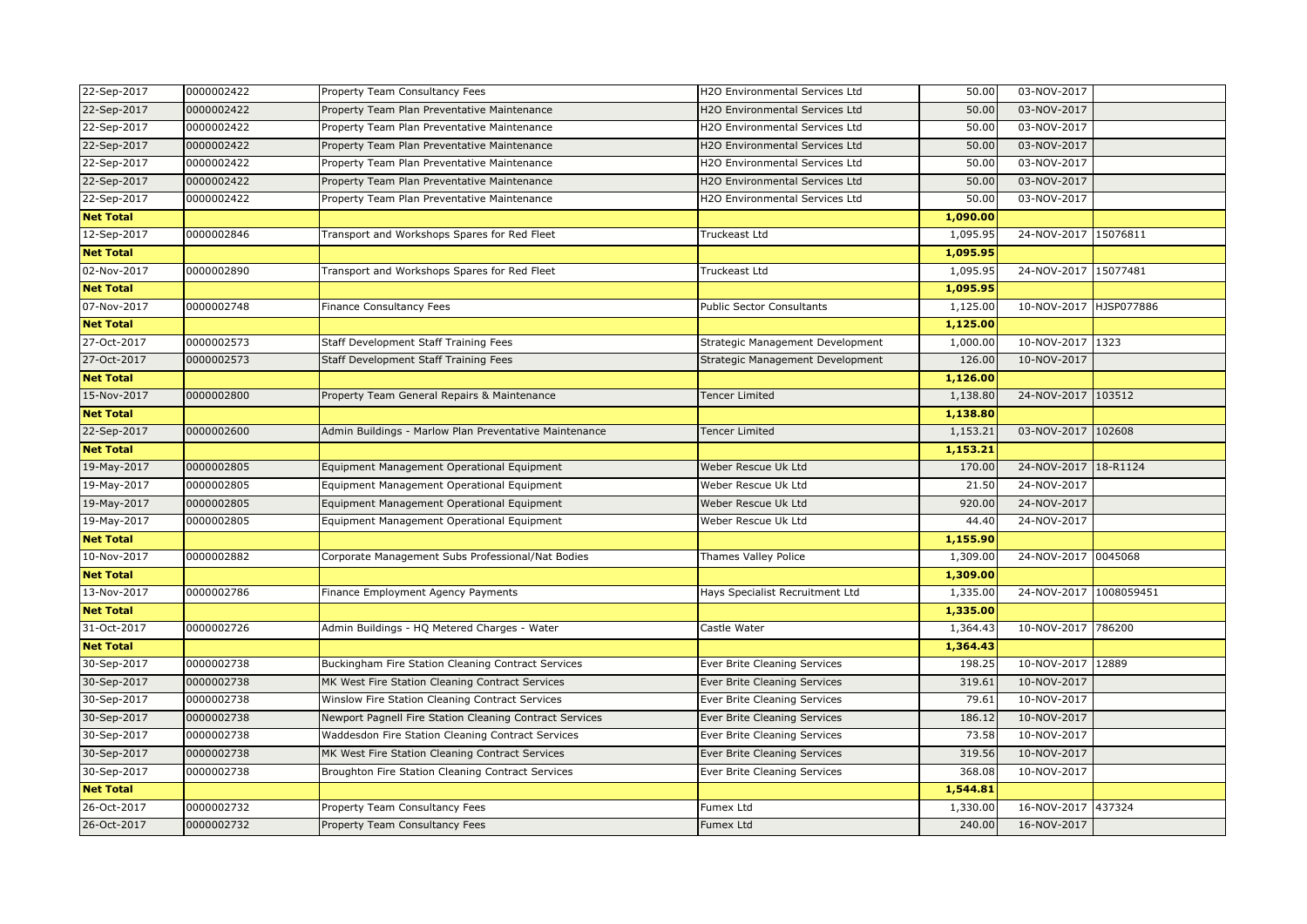| 22-Sep-2017      | 0000002422 | Property Team Consultancy Fees                          | H2O Environmental Services Ltd        | 50.00    | 03-NOV-2017            |        |
|------------------|------------|---------------------------------------------------------|---------------------------------------|----------|------------------------|--------|
| 22-Sep-2017      | 0000002422 | Property Team Plan Preventative Maintenance             | H2O Environmental Services Ltd        | 50.00    | 03-NOV-2017            |        |
| 22-Sep-2017      | 0000002422 | Property Team Plan Preventative Maintenance             | H2O Environmental Services Ltd        | 50.00    | 03-NOV-2017            |        |
| 22-Sep-2017      | 0000002422 | Property Team Plan Preventative Maintenance             | <b>H2O Environmental Services Ltd</b> | 50.00    | 03-NOV-2017            |        |
| 22-Sep-2017      | 0000002422 | Property Team Plan Preventative Maintenance             | H2O Environmental Services Ltd        | 50.00    | 03-NOV-2017            |        |
| 22-Sep-2017      | 0000002422 | Property Team Plan Preventative Maintenance             | H2O Environmental Services Ltd        | 50.00    | 03-NOV-2017            |        |
| 22-Sep-2017      | 0000002422 | Property Team Plan Preventative Maintenance             | H2O Environmental Services Ltd        | 50.00    | 03-NOV-2017            |        |
| <b>Net Total</b> |            |                                                         |                                       | 1,090.00 |                        |        |
| 12-Sep-2017      | 0000002846 | Transport and Workshops Spares for Red Fleet            | Truckeast Ltd                         | 1,095.95 | 24-NOV-2017 15076811   |        |
| <b>Net Total</b> |            |                                                         |                                       | 1,095.95 |                        |        |
| 02-Nov-2017      | 0000002890 | Transport and Workshops Spares for Red Fleet            | Truckeast Ltd                         | 1,095.95 | 24-NOV-2017 15077481   |        |
| <b>Net Total</b> |            |                                                         |                                       | 1,095.95 |                        |        |
| 07-Nov-2017      | 0000002748 | <b>Finance Consultancy Fees</b>                         | <b>Public Sector Consultants</b>      | 1,125.00 | 10-NOV-2017 HJSP077886 |        |
| <b>Net Total</b> |            |                                                         |                                       | 1,125.00 |                        |        |
| 27-Oct-2017      | 0000002573 | Staff Development Staff Training Fees                   | Strategic Management Development      | 1,000.00 | 10-NOV-2017 1323       |        |
| 27-Oct-2017      | 0000002573 | Staff Development Staff Training Fees                   | Strategic Management Development      | 126.00   | 10-NOV-2017            |        |
| <b>Net Total</b> |            |                                                         |                                       | 1,126.00 |                        |        |
| 15-Nov-2017      | 0000002800 | Property Team General Repairs & Maintenance             | <b>Tencer Limited</b>                 | 1,138.80 | 24-NOV-2017            | 103512 |
| <b>Net Total</b> |            |                                                         |                                       | 1,138.80 |                        |        |
| 22-Sep-2017      | 0000002600 | Admin Buildings - Marlow Plan Preventative Maintenance  | Tencer Limited                        | 1,153.21 | 03-NOV-2017 102608     |        |
| <b>Net Total</b> |            |                                                         |                                       | 1,153.21 |                        |        |
| 19-May-2017      | 0000002805 | Equipment Management Operational Equipment              | Weber Rescue Uk Ltd                   | 170.00   | 24-NOV-2017 18-R1124   |        |
| 19-May-2017      | 0000002805 | Equipment Management Operational Equipment              | Weber Rescue Uk Ltd                   | 21.50    | 24-NOV-2017            |        |
| 19-May-2017      | 0000002805 | Equipment Management Operational Equipment              | Weber Rescue Uk Ltd                   | 920.00   | 24-NOV-2017            |        |
| 19-May-2017      | 0000002805 | Equipment Management Operational Equipment              | Weber Rescue Uk Ltd                   | 44.40    | 24-NOV-2017            |        |
| <b>Net Total</b> |            |                                                         |                                       | 1,155.90 |                        |        |
| 10-Nov-2017      | 0000002882 | Corporate Management Subs Professional/Nat Bodies       | Thames Valley Police                  | 1,309.00 | 24-NOV-2017 0045068    |        |
| <b>Net Total</b> |            |                                                         |                                       | 1,309.00 |                        |        |
| 13-Nov-2017      | 0000002786 | Finance Employment Agency Payments                      | Hays Specialist Recruitment Ltd       | 1,335.00 | 24-NOV-2017 1008059451 |        |
| <b>Net Total</b> |            |                                                         |                                       | 1,335.00 |                        |        |
| 31-Oct-2017      | 0000002726 | Admin Buildings - HQ Metered Charges - Water            | Castle Water                          | 1,364.43 | 10-NOV-2017 786200     |        |
| <b>Net Total</b> |            |                                                         |                                       | 1,364.43 |                        |        |
| 30-Sep-2017      | 0000002738 | Buckingham Fire Station Cleaning Contract Services      | Ever Brite Cleaning Services          | 198.25   | 10-NOV-2017 12889      |        |
| 30-Sep-2017      | 0000002738 | MK West Fire Station Cleaning Contract Services         | Ever Brite Cleaning Services          | 319.61   | 10-NOV-2017            |        |
| 30-Sep-2017      | 0000002738 | Winslow Fire Station Cleaning Contract Services         | Ever Brite Cleaning Services          | 79.61    | 10-NOV-2017            |        |
| 30-Sep-2017      | 0000002738 | Newport Pagnell Fire Station Cleaning Contract Services | Ever Brite Cleaning Services          | 186.12   | 10-NOV-2017            |        |
| 30-Sep-2017      | 0000002738 | Waddesdon Fire Station Cleaning Contract Services       | Ever Brite Cleaning Services          | 73.58    | 10-NOV-2017            |        |
| 30-Sep-2017      | 0000002738 | MK West Fire Station Cleaning Contract Services         | Ever Brite Cleaning Services          | 319.56   | 10-NOV-2017            |        |
| 30-Sep-2017      | 0000002738 | Broughton Fire Station Cleaning Contract Services       | Ever Brite Cleaning Services          | 368.08   | 10-NOV-2017            |        |
| <b>Net Total</b> |            |                                                         |                                       | 1,544.81 |                        |        |
| 26-Oct-2017      | 0000002732 | Property Team Consultancy Fees                          | Fumex Ltd                             | 1,330.00 | 16-NOV-2017 437324     |        |
| 26-Oct-2017      | 0000002732 | Property Team Consultancy Fees                          | Fumex Ltd                             | 240.00   | 16-NOV-2017            |        |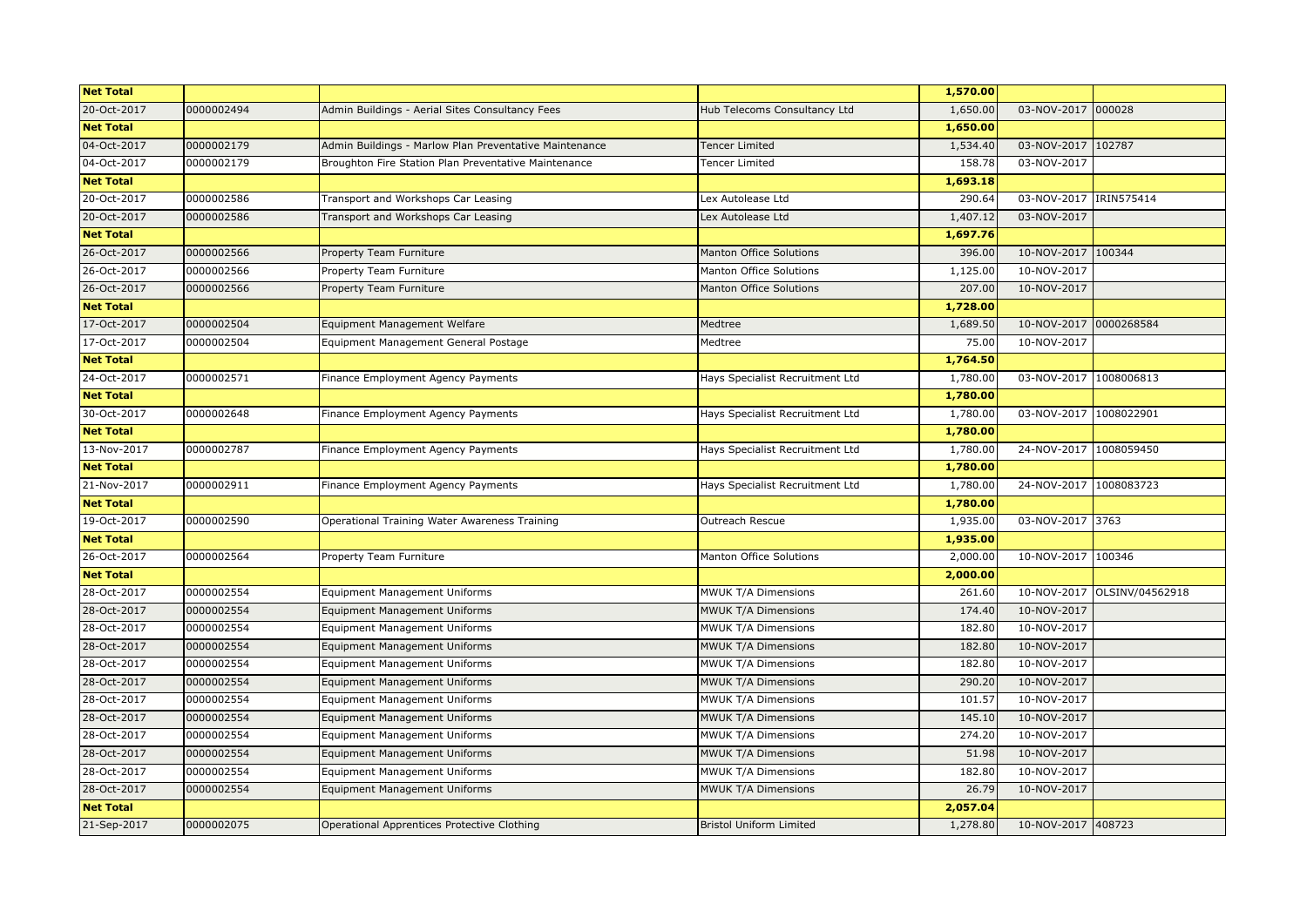| <b>Net Total</b> |            |                                                        |                                 | 1,570.00 |                        |                             |
|------------------|------------|--------------------------------------------------------|---------------------------------|----------|------------------------|-----------------------------|
| 20-Oct-2017      | 0000002494 | Admin Buildings - Aerial Sites Consultancy Fees        | Hub Telecoms Consultancy Ltd    | 1,650.00 | 03-NOV-2017            | 000028                      |
| <b>Net Total</b> |            |                                                        |                                 | 1,650.00 |                        |                             |
| 04-Oct-2017      | 0000002179 | Admin Buildings - Marlow Plan Preventative Maintenance | <b>Tencer Limited</b>           | 1,534.40 | 03-NOV-2017 102787     |                             |
| 04-Oct-2017      | 0000002179 | Broughton Fire Station Plan Preventative Maintenance   | Tencer Limited                  | 158.78   | 03-NOV-2017            |                             |
| <b>Net Total</b> |            |                                                        |                                 | 1,693.18 |                        |                             |
| 20-Oct-2017      | 0000002586 | Transport and Workshops Car Leasing                    | Lex Autolease Ltd               | 290.64   | 03-NOV-2017            | IRIN575414                  |
| 20-Oct-2017      | 0000002586 | Transport and Workshops Car Leasing                    | Lex Autolease Ltd               | 1,407.12 | 03-NOV-2017            |                             |
| <b>Net Total</b> |            |                                                        |                                 | 1,697.76 |                        |                             |
| 26-Oct-2017      | 0000002566 | Property Team Furniture                                | Manton Office Solutions         | 396.00   | 10-NOV-2017            | 100344                      |
| 26-Oct-2017      | 0000002566 | Property Team Furniture                                | Manton Office Solutions         | 1,125.00 | 10-NOV-2017            |                             |
| 26-Oct-2017      | 0000002566 | Property Team Furniture                                | Manton Office Solutions         | 207.00   | 10-NOV-2017            |                             |
| <b>Net Total</b> |            |                                                        |                                 | 1,728.00 |                        |                             |
| 17-Oct-2017      | 0000002504 | Equipment Management Welfare                           | Medtree                         | 1,689.50 | 10-NOV-2017            | 0000268584                  |
| 17-Oct-2017      | 0000002504 | Equipment Management General Postage                   | Medtree                         | 75.00    | 10-NOV-2017            |                             |
| <b>Net Total</b> |            |                                                        |                                 | 1,764.50 |                        |                             |
| 24-Oct-2017      | 0000002571 | Finance Employment Agency Payments                     | Hays Specialist Recruitment Ltd | 1,780.00 | 03-NOV-2017 1008006813 |                             |
| <b>Net Total</b> |            |                                                        |                                 | 1,780.00 |                        |                             |
| 30-Oct-2017      | 0000002648 | Finance Employment Agency Payments                     | Hays Specialist Recruitment Ltd | 1,780.00 | 03-NOV-2017            | 1008022901                  |
| <b>Net Total</b> |            |                                                        |                                 | 1,780.00 |                        |                             |
| 13-Nov-2017      | 0000002787 | Finance Employment Agency Payments                     | Hays Specialist Recruitment Ltd | 1,780.00 | 24-NOV-2017 1008059450 |                             |
| <b>Net Total</b> |            |                                                        |                                 | 1,780.00 |                        |                             |
| 21-Nov-2017      | 0000002911 | Finance Employment Agency Payments                     | Hays Specialist Recruitment Ltd | 1,780.00 | 24-NOV-2017            | 1008083723                  |
| <b>Net Total</b> |            |                                                        |                                 | 1,780.00 |                        |                             |
| 19-Oct-2017      | 0000002590 | Operational Training Water Awareness Training          | Outreach Rescue                 | 1,935.00 | 03-NOV-2017 3763       |                             |
| <b>Net Total</b> |            |                                                        |                                 | 1,935.00 |                        |                             |
| 26-Oct-2017      | 0000002564 | Property Team Furniture                                | Manton Office Solutions         | 2,000.00 | 10-NOV-2017 100346     |                             |
| <b>Net Total</b> |            |                                                        |                                 | 2,000.00 |                        |                             |
| 28-Oct-2017      | 0000002554 | <b>Equipment Management Uniforms</b>                   | MWUK T/A Dimensions             | 261.60   |                        | 10-NOV-2017 OLSINV/04562918 |
| 28-Oct-2017      | 0000002554 | Equipment Management Uniforms                          | MWUK T/A Dimensions             | 174.40   | 10-NOV-2017            |                             |
| 28-Oct-2017      | 0000002554 | <b>Equipment Management Uniforms</b>                   | MWUK T/A Dimensions             | 182.80   | 10-NOV-2017            |                             |
| 28-Oct-2017      | 0000002554 | <b>Equipment Management Uniforms</b>                   | MWUK T/A Dimensions             | 182.80   | 10-NOV-2017            |                             |
| 28-Oct-2017      | 0000002554 | Equipment Management Uniforms                          | MWUK T/A Dimensions             | 182.80   | 10-NOV-2017            |                             |
| 28-Oct-2017      | 0000002554 | Equipment Management Uniforms                          | MWUK T/A Dimensions             | 290.20   | 10-NOV-2017            |                             |
| 28-Oct-2017      | 0000002554 | <b>Equipment Management Uniforms</b>                   | MWUK T/A Dimensions             | 101.57   | 10-NOV-2017            |                             |
| 28-Oct-2017      | 0000002554 | <b>Equipment Management Uniforms</b>                   | MWUK T/A Dimensions             | 145.10   | 10-NOV-2017            |                             |
| 28-Oct-2017      | 0000002554 | <b>Equipment Management Uniforms</b>                   | MWUK T/A Dimensions             | 274.20   | 10-NOV-2017            |                             |
| 28-Oct-2017      | 0000002554 | <b>Equipment Management Uniforms</b>                   | MWUK T/A Dimensions             | 51.98    | 10-NOV-2017            |                             |
| 28-Oct-2017      | 0000002554 | Equipment Management Uniforms                          | MWUK T/A Dimensions             | 182.80   | 10-NOV-2017            |                             |
| 28-Oct-2017      | 0000002554 | <b>Equipment Management Uniforms</b>                   | MWUK T/A Dimensions             | 26.79    | 10-NOV-2017            |                             |
| <b>Net Total</b> |            |                                                        |                                 | 2,057.04 |                        |                             |
| 21-Sep-2017      | 0000002075 | Operational Apprentices Protective Clothing            | <b>Bristol Uniform Limited</b>  | 1,278.80 | 10-NOV-2017 408723     |                             |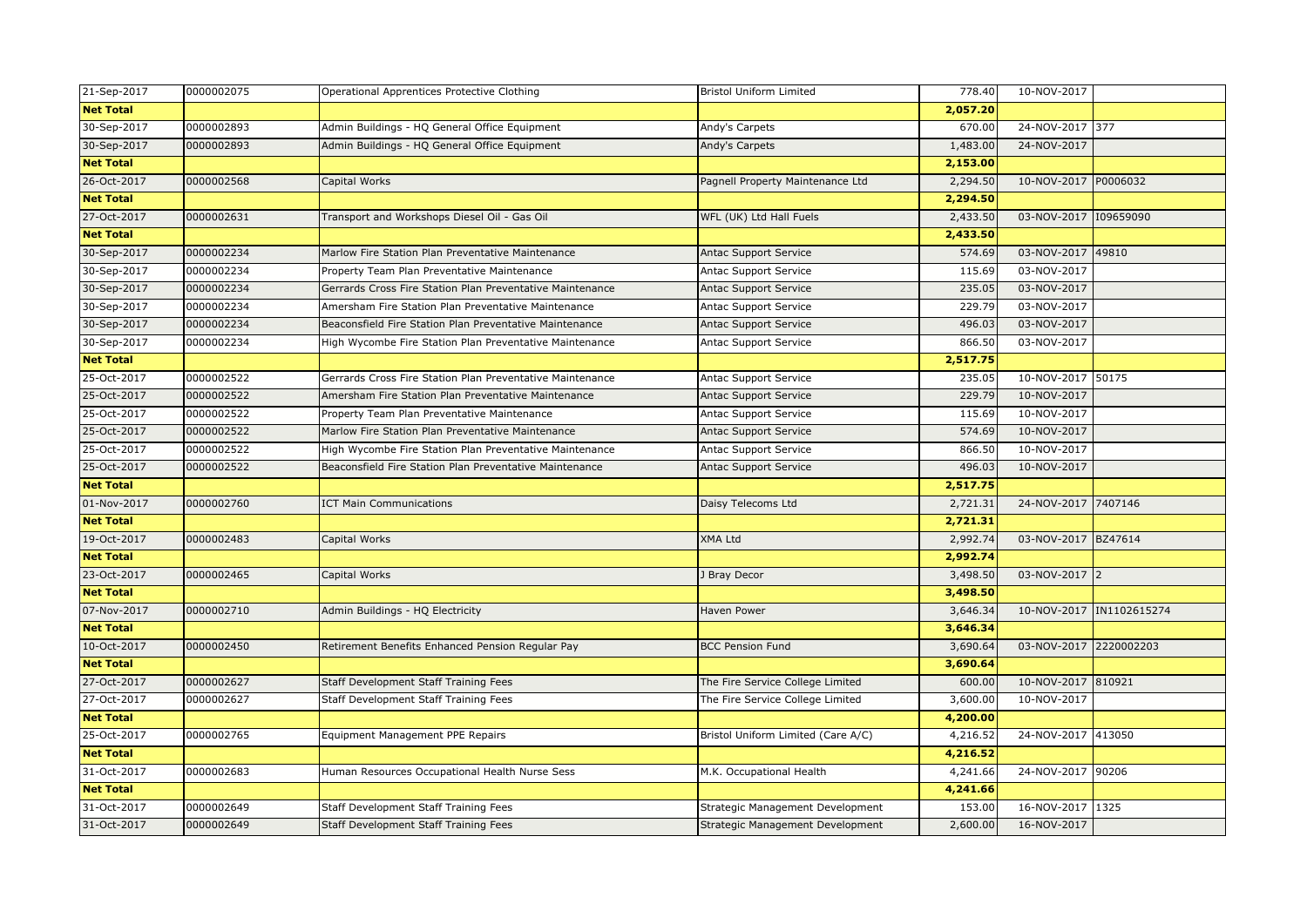| 21-Sep-2017      | 0000002075 | Operational Apprentices Protective Clothing               | <b>Bristol Uniform Limited</b>     | 778.40   | 10-NOV-2017           |                |
|------------------|------------|-----------------------------------------------------------|------------------------------------|----------|-----------------------|----------------|
| <b>Net Total</b> |            |                                                           |                                    | 2,057.20 |                       |                |
| 30-Sep-2017      | 0000002893 | Admin Buildings - HQ General Office Equipment             | Andy's Carpets                     | 670.00   | 24-NOV-2017 377       |                |
| 30-Sep-2017      | 0000002893 | Admin Buildings - HQ General Office Equipment             | Andy's Carpets                     | 1,483.00 | 24-NOV-2017           |                |
| <b>Net Total</b> |            |                                                           |                                    | 2,153.00 |                       |                |
| 26-Oct-2017      | 0000002568 | Capital Works                                             | Pagnell Property Maintenance Ltd   | 2,294.50 | 10-NOV-2017           | P0006032       |
| <b>Net Total</b> |            |                                                           |                                    | 2,294.50 |                       |                |
| 27-Oct-2017      | 0000002631 | Transport and Workshops Diesel Oil - Gas Oil              | WFL (UK) Ltd Hall Fuels            | 2,433.50 | 03-NOV-2017 109659090 |                |
| <b>Net Total</b> |            |                                                           |                                    | 2,433.50 |                       |                |
| 30-Sep-2017      | 0000002234 | Marlow Fire Station Plan Preventative Maintenance         | Antac Support Service              | 574.69   | 03-NOV-2017           | 49810          |
| 30-Sep-2017      | 0000002234 | Property Team Plan Preventative Maintenance               | Antac Support Service              | 115.69   | 03-NOV-2017           |                |
| 30-Sep-2017      | 0000002234 | Gerrards Cross Fire Station Plan Preventative Maintenance | <b>Antac Support Service</b>       | 235.05   | 03-NOV-2017           |                |
| 30-Sep-2017      | 0000002234 | Amersham Fire Station Plan Preventative Maintenance       | Antac Support Service              | 229.79   | 03-NOV-2017           |                |
| 30-Sep-2017      | 0000002234 | Beaconsfield Fire Station Plan Preventative Maintenance   | Antac Support Service              | 496.03   | 03-NOV-2017           |                |
| 30-Sep-2017      | 0000002234 | High Wycombe Fire Station Plan Preventative Maintenance   | Antac Support Service              | 866.50   | 03-NOV-2017           |                |
| <b>Net Total</b> |            |                                                           |                                    | 2,517.75 |                       |                |
| 25-Oct-2017      | 0000002522 | Gerrards Cross Fire Station Plan Preventative Maintenance | Antac Support Service              | 235.05   | 10-NOV-2017 50175     |                |
| 25-Oct-2017      | 0000002522 | Amersham Fire Station Plan Preventative Maintenance       | Antac Support Service              | 229.79   | 10-NOV-2017           |                |
| 25-Oct-2017      | 0000002522 | Property Team Plan Preventative Maintenance               | Antac Support Service              | 115.69   | 10-NOV-2017           |                |
| 25-Oct-2017      | 0000002522 | Marlow Fire Station Plan Preventative Maintenance         | <b>Antac Support Service</b>       | 574.69   | 10-NOV-2017           |                |
| 25-Oct-2017      | 0000002522 | High Wycombe Fire Station Plan Preventative Maintenance   | Antac Support Service              | 866.50   | 10-NOV-2017           |                |
| 25-Oct-2017      | 0000002522 | Beaconsfield Fire Station Plan Preventative Maintenance   | Antac Support Service              | 496.03   | 10-NOV-2017           |                |
| <b>Net Total</b> |            |                                                           |                                    | 2,517.75 |                       |                |
| 01-Nov-2017      | 0000002760 | <b>ICT Main Communications</b>                            | Daisy Telecoms Ltd                 | 2,721.31 | 24-NOV-2017           | 7407146        |
| <b>Net Total</b> |            |                                                           |                                    | 2,721.31 |                       |                |
| 19-Oct-2017      | 0000002483 | Capital Works                                             | <b>XMA Ltd</b>                     | 2,992.74 | 03-NOV-2017 BZ47614   |                |
| <b>Net Total</b> |            |                                                           |                                    | 2,992.74 |                       |                |
| 23-Oct-2017      | 0000002465 | Capital Works                                             | <b>Bray Decor</b>                  | 3,498.50 | 03-NOV-2017           | $\overline{2}$ |
| <b>Net Total</b> |            |                                                           |                                    | 3,498.50 |                       |                |
| 07-Nov-2017      | 0000002710 | Admin Buildings - HQ Electricity                          | Haven Power                        | 3,646.34 | 10-NOV-2017           | IN1102615274   |
| <b>Net Total</b> |            |                                                           |                                    | 3,646.34 |                       |                |
| 10-Oct-2017      | 0000002450 | Retirement Benefits Enhanced Pension Regular Pay          | <b>BCC Pension Fund</b>            | 3,690.64 | 03-NOV-2017           | 2220002203     |
| <b>Net Total</b> |            |                                                           |                                    | 3,690.64 |                       |                |
| 27-Oct-2017      | 0000002627 | Staff Development Staff Training Fees                     | The Fire Service College Limited   | 600.00   | 10-NOV-2017           | 810921         |
| 27-Oct-2017      | 0000002627 | Staff Development Staff Training Fees                     | The Fire Service College Limited   | 3,600.00 | 10-NOV-2017           |                |
| <b>Net Total</b> |            |                                                           |                                    | 4,200.00 |                       |                |
| 25-Oct-2017      | 0000002765 | Equipment Management PPE Repairs                          | Bristol Uniform Limited (Care A/C) | 4,216.52 | 24-NOV-2017 413050    |                |
| <b>Net Total</b> |            |                                                           |                                    | 4,216.52 |                       |                |
| 31-Oct-2017      | 0000002683 | Human Resources Occupational Health Nurse Sess            | M.K. Occupational Health           | 4,241.66 | 24-NOV-2017 90206     |                |
| <b>Net Total</b> |            |                                                           |                                    | 4,241.66 |                       |                |
| 31-Oct-2017      | 0000002649 | Staff Development Staff Training Fees                     | Strategic Management Development   | 153.00   | 16-NOV-2017 1325      |                |
| 31-Oct-2017      | 0000002649 | Staff Development Staff Training Fees                     | Strategic Management Development   | 2,600.00 | 16-NOV-2017           |                |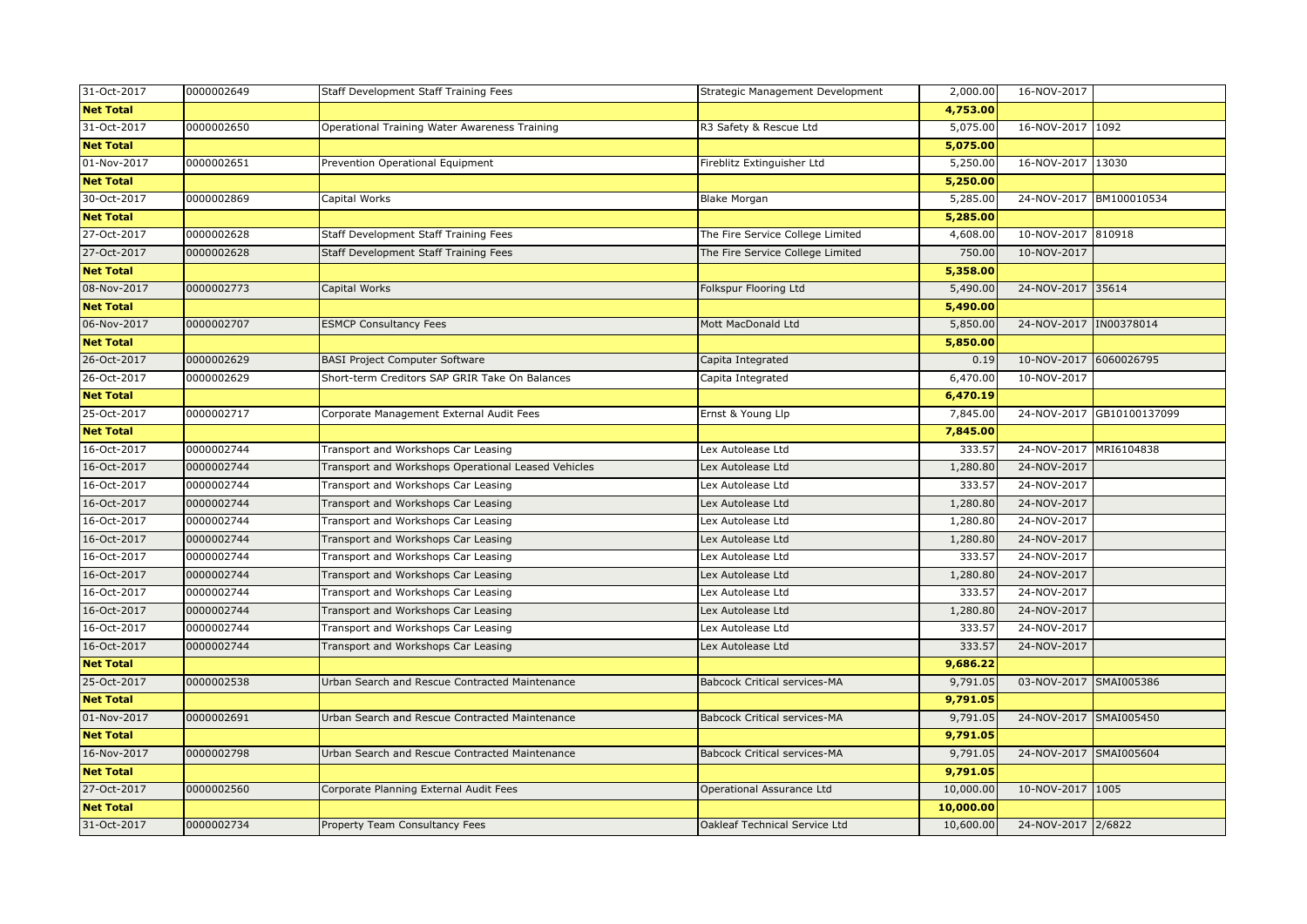| 31-Oct-2017      | 0000002649 | Staff Development Staff Training Fees               | Strategic Management Development    | 2,000.00  | 16-NOV-2017            |               |
|------------------|------------|-----------------------------------------------------|-------------------------------------|-----------|------------------------|---------------|
| <b>Net Total</b> |            |                                                     |                                     | 4,753.00  |                        |               |
| 31-Oct-2017      | 0000002650 | Operational Training Water Awareness Training       | R3 Safety & Rescue Ltd              | 5,075.00  | 16-NOV-2017 1092       |               |
| <b>Net Total</b> |            |                                                     |                                     | 5,075.00  |                        |               |
| 01-Nov-2017      | 0000002651 | Prevention Operational Equipment                    | Fireblitz Extinguisher Ltd          | 5,250.00  | 16-NOV-2017 13030      |               |
| <b>Net Total</b> |            |                                                     |                                     | 5,250.00  |                        |               |
| 30-Oct-2017      | 0000002869 | Capital Works                                       | <b>Blake Morgan</b>                 | 5,285.00  | 24-NOV-2017            | BM100010534   |
| <b>Net Total</b> |            |                                                     |                                     | 5,285.00  |                        |               |
| 27-Oct-2017      | 0000002628 | Staff Development Staff Training Fees               | The Fire Service College Limited    | 4,608.00  | 10-NOV-2017 810918     |               |
| 27-Oct-2017      | 0000002628 | Staff Development Staff Training Fees               | The Fire Service College Limited    | 750.00    | 10-NOV-2017            |               |
| <b>Net Total</b> |            |                                                     |                                     | 5,358.00  |                        |               |
| 08-Nov-2017      | 0000002773 | Capital Works                                       | Folkspur Flooring Ltd               | 5,490.00  | 24-NOV-2017 35614      |               |
| <b>Net Total</b> |            |                                                     |                                     | 5,490.00  |                        |               |
| 06-Nov-2017      | 0000002707 | <b>ESMCP Consultancy Fees</b>                       | Mott MacDonald Ltd                  | 5,850.00  | 24-NOV-2017            | IN00378014    |
| <b>Net Total</b> |            |                                                     |                                     | 5,850.00  |                        |               |
| 26-Oct-2017      | 0000002629 | <b>BASI Project Computer Software</b>               | Capita Integrated                   | 0.19      | 10-NOV-2017            | 6060026795    |
| 26-Oct-2017      | 0000002629 | Short-term Creditors SAP GRIR Take On Balances      | Capita Integrated                   | 6,470.00  | 10-NOV-2017            |               |
| <b>Net Total</b> |            |                                                     |                                     | 6,470.19  |                        |               |
| 25-Oct-2017      | 0000002717 | Corporate Management External Audit Fees            | Ernst & Young Llp                   | 7,845.00  | 24-NOV-2017            | GB10100137099 |
| <b>Net Total</b> |            |                                                     |                                     | 7,845.00  |                        |               |
| 16-Oct-2017      | 0000002744 | Transport and Workshops Car Leasing                 | Lex Autolease Ltd                   | 333.57    | 24-NOV-2017            | MRI6104838    |
| 16-Oct-2017      | 0000002744 | Transport and Workshops Operational Leased Vehicles | Lex Autolease Ltd                   | 1,280.80  | 24-NOV-2017            |               |
| 16-Oct-2017      | 0000002744 | Transport and Workshops Car Leasing                 | Lex Autolease Ltd                   | 333.57    | 24-NOV-2017            |               |
| 16-Oct-2017      | 0000002744 | Transport and Workshops Car Leasing                 | Lex Autolease Ltd                   | 1,280.80  | 24-NOV-2017            |               |
| 16-Oct-2017      | 0000002744 | Transport and Workshops Car Leasing                 | Lex Autolease Ltd                   | 1,280.80  | 24-NOV-2017            |               |
| 16-Oct-2017      | 0000002744 | Transport and Workshops Car Leasing                 | Lex Autolease Ltd                   | 1,280.80  | 24-NOV-2017            |               |
| 16-Oct-2017      | 0000002744 | Transport and Workshops Car Leasing                 | Lex Autolease Ltd                   | 333.57    | 24-NOV-2017            |               |
| 16-Oct-2017      | 0000002744 | Transport and Workshops Car Leasing                 | Lex Autolease Ltd                   | 1,280.80  | 24-NOV-2017            |               |
| 16-Oct-2017      | 0000002744 | Transport and Workshops Car Leasing                 | Lex Autolease Ltd                   | 333.57    | 24-NOV-2017            |               |
| 16-Oct-2017      | 0000002744 | Transport and Workshops Car Leasing                 | Lex Autolease Ltd                   | 1,280.80  | 24-NOV-2017            |               |
| 16-Oct-2017      | 0000002744 | Transport and Workshops Car Leasing                 | Lex Autolease Ltd                   | 333.57    | 24-NOV-2017            |               |
| 16-Oct-2017      | 0000002744 | Transport and Workshops Car Leasing                 | Lex Autolease Ltd                   | 333.57    | 24-NOV-2017            |               |
| <b>Net Total</b> |            |                                                     |                                     | 9,686.22  |                        |               |
| 25-Oct-2017      | 0000002538 | Urban Search and Rescue Contracted Maintenance      | <b>Babcock Critical services-MA</b> | 9,791.05  | 03-NOV-2017 SMAI005386 |               |
| <b>Net Total</b> |            |                                                     |                                     | 9,791.05  |                        |               |
| 01-Nov-2017      | 0000002691 | Urban Search and Rescue Contracted Maintenance      | <b>Babcock Critical services-MA</b> | 9,791.05  | 24-NOV-2017            | SMAI005450    |
| <b>Net Total</b> |            |                                                     |                                     | 9,791.05  |                        |               |
| 16-Nov-2017      | 0000002798 | Urban Search and Rescue Contracted Maintenance      | <b>Babcock Critical services-MA</b> | 9,791.05  | 24-NOV-2017            | SMAI005604    |
| <b>Net Total</b> |            |                                                     |                                     | 9,791.05  |                        |               |
| 27-Oct-2017      | 0000002560 | Corporate Planning External Audit Fees              | Operational Assurance Ltd           | 10,000.00 | 10-NOV-2017 1005       |               |
| <b>Net Total</b> |            |                                                     |                                     | 10,000.00 |                        |               |
| 31-Oct-2017      | 0000002734 | Property Team Consultancy Fees                      | Oakleaf Technical Service Ltd       | 10,600.00 | 24-NOV-2017 2/6822     |               |